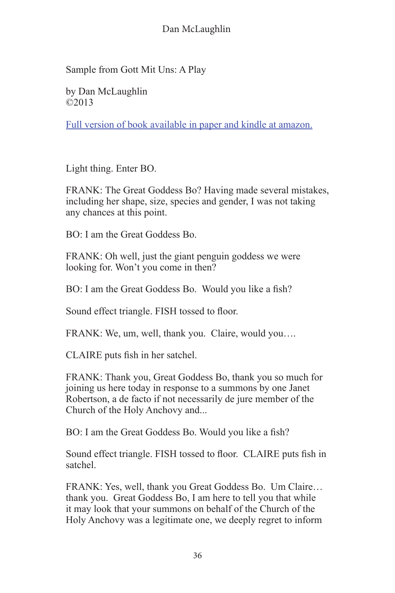Sample from Gott Mit Uns: A Play

by Dan McLaughlin ©2013

[Full version of book available in paper and kindle at amazon.](http://www.amazon.com/Gott-Mit-Uns-Dan-McLaughlin/dp/1475102429/ref%3Dla_B004GAT0XS_1_1%3Fie%3DUTF8%26qid%3D1365669935%26sr%3D1-1)

Light thing. Enter BO.

FRANK: The Great Goddess Bo? Having made several mistakes, including her shape, size, species and gender, I was not taking any chances at this point.

BO: I am the Great Goddess Bo.

FRANK: Oh well, just the giant penguin goddess we were looking for. Won't you come in then?

BO: I am the Great Goddess Bo. Would you like a fish?

Sound effect triangle. FISH tossed to floor.

FRANK: We, um, well, thank you. Claire, would you….

CLAIRE puts fish in her satchel.

FRANK: Thank you, Great Goddess Bo, thank you so much for joining us here today in response to a summons by one Janet Robertson, a de facto if not necessarily de jure member of the Church of the Holy Anchovy and...

BO: I am the Great Goddess Bo. Would you like a fish?

Sound effect triangle. FISH tossed to floor. CLAIRE puts fish in satchel.

FRANK: Yes, well, thank you Great Goddess Bo. Um Claire… thank you. Great Goddess Bo, I am here to tell you that while it may look that your summons on behalf of the Church of the Holy Anchovy was a legitimate one, we deeply regret to inform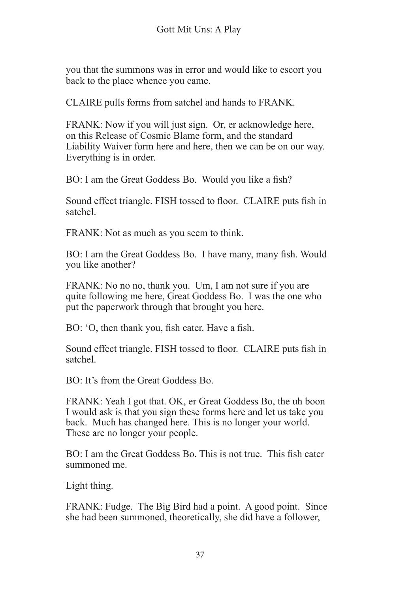you that the summons was in error and would like to escort you back to the place whence you came.

CLAIRE pulls forms from satchel and hands to FRANK.

FRANK: Now if you will just sign. Or, er acknowledge here, on this Release of Cosmic Blame form, and the standard Liability Waiver form here and here, then we can be on our way. Everything is in order.

BO: I am the Great Goddess Bo. Would you like a fish?

Sound effect triangle. FISH tossed to floor. CLAIRE puts fish in satchel.

FRANK: Not as much as you seem to think.

BO: I am the Great Goddess Bo. I have many, many fish. Would you like another?

FRANK: No no no, thank you. Um, I am not sure if you are quite following me here, Great Goddess Bo. I was the one who put the paperwork through that brought you here.

BO: 'O, then thank you, fish eater. Have a fish.

Sound effect triangle. FISH tossed to floor. CLAIRE puts fish in satchel.

BO: It's from the Great Goddess Bo.

FRANK: Yeah I got that. OK, er Great Goddess Bo, the uh boon I would ask is that you sign these forms here and let us take you back. Much has changed here. This is no longer your world. These are no longer your people.

BO: I am the Great Goddess Bo. This is not true. This fish eater summoned me.

Light thing.

FRANK: Fudge. The Big Bird had a point. A good point. Since she had been summoned, theoretically, she did have a follower,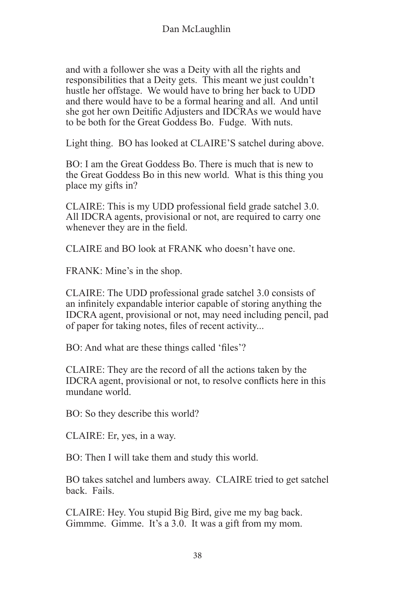and with a follower she was a Deity with all the rights and responsibilities that a Deity gets. This meant we just couldn't hustle her offstage. We would have to bring her back to UDD and there would have to be a formal hearing and all. And until she got her own Deitific Adjusters and IDCRAs we would have to be both for the Great Goddess Bo. Fudge. With nuts.

Light thing. BO has looked at CLAIRE'S satchel during above.

BO: I am the Great Goddess Bo. There is much that is new to the Great Goddess Bo in this new world. What is this thing you place my gifts in?

CLAIRE: This is my UDD professional field grade satchel 3.0. All IDCRA agents, provisional or not, are required to carry one whenever they are in the field.

CLAIRE and BO look at FRANK who doesn't have one.

FRANK: Mine's in the shop.

CLAIRE: The UDD professional grade satchel 3.0 consists of an infinitely expandable interior capable of storing anything the IDCRA agent, provisional or not, may need including pencil, pad of paper for taking notes, files of recent activity...

BO: And what are these things called 'files'?

CLAIRE: They are the record of all the actions taken by the IDCRA agent, provisional or not, to resolve conflicts here in this mundane world.

BO: So they describe this world?

CLAIRE: Er, yes, in a way.

BO: Then I will take them and study this world.

BO takes satchel and lumbers away. CLAIRE tried to get satchel back. Fails.

CLAIRE: Hey. You stupid Big Bird, give me my bag back. Gimmme. Gimme. It's a 3.0. It was a gift from my mom.